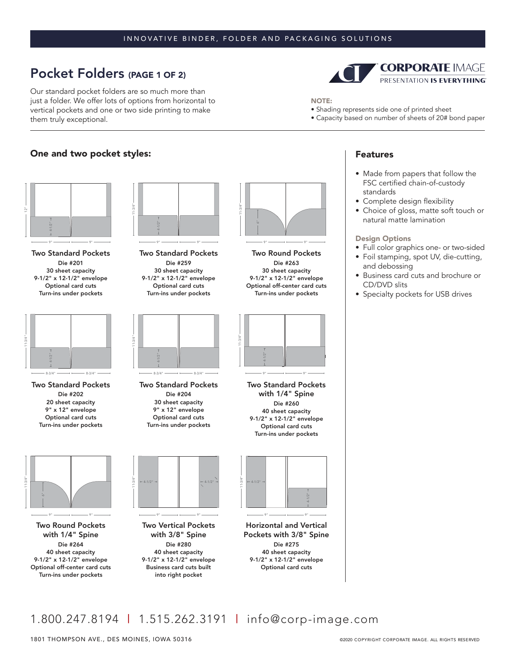#### INNOVATIVE BINDER, FOLDER AND PACKAGING SOLUTIONS

# Pocket Folders (PAGE 1 OF 2)

Our standard pocket folders are so much more than just a folder. We offer lots of options from horizontal to vertical pockets and one or two side printing to make them truly exceptional.

## One and two pocket styles: The control of the control of the Features of the Features



9"

Two Standard Pockets Die #201 30 sheet capacity 9-1/2" x 12-1/2" envelope Optional card cuts Turn-ins under pockets



Two Standard Pockets Die #202 20 sheet capacity 9" x 12" envelope Optional card cuts Turn-ins under pockets



Two Round Pockets with 1/4" Spine Die #264 40 sheet capacity 9-1/2" x 12-1/2" envelope Optional off-center card cuts Turn-ins under pockets



Two Standard Pockets Die #259 30 sheet capacity 9-1/2" x 12-1/2" envelope Optional card cuts Turn-ins under pockets



Two Standard Pockets Die #204 30 sheet capacity 9" x 12" envelope Optional card cuts

Turn-ins under pockets



11-3/4"

Two Vertical Pockets with 3/8" Spine Die #280 40 sheet capacity 9-1/2" x 12-1/2" envelope Business card cuts built into right pocket



Two Round Pockets Die #263 30 sheet capacity 9-1/2" x 12-1/2" envelope Optional off-center card cuts Turn-ins under pockets



Two Standard Pockets with 1/4" Spine Die #260 40 sheet capacity 9-1/2" x 12-1/2" envelope Optional card cuts Turn-ins under pockets



Horizontal and Vertical Pockets with 3/8" Spine Die #275 40 sheet capacity 9-1/2" x 12-1/2" envelope Optional card cuts



NOTE:

- Shading represents side one of printed sheet
- Capacity based on number of sheets of 20# bond paper

- Made from papers that follow the FSC certified chain-of-custody standards
- Complete design flexibility
- Choice of gloss, matte soft touch or natural matte lamination

#### Design Options

- Full color graphics one- or two-sided
- Foil stamping, spot UV, die-cutting, and debossing
- Business card cuts and brochure or CD/DVD slits
- Specialty pockets for USB drives

1.800.247.8194 | 1.515.262.3191 | info@corp-image.com